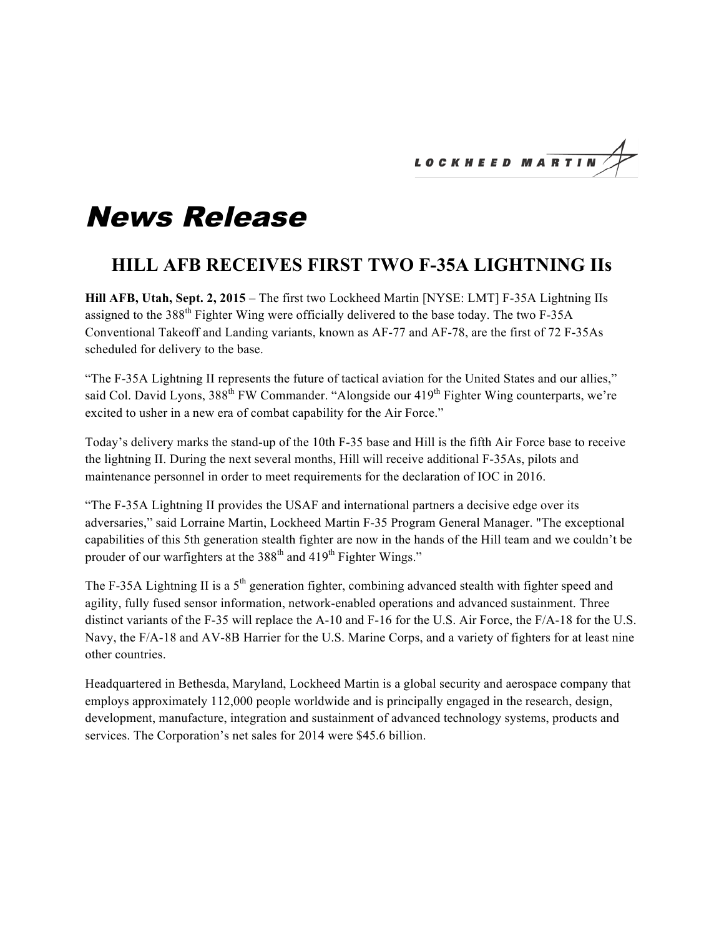LOCKHEED MARTI

## News Release

## **HILL AFB RECEIVES FIRST TWO F-35A LIGHTNING IIs**

**Hill AFB, Utah, Sept. 2, 2015** – The first two Lockheed Martin [NYSE: LMT] F-35A Lightning IIs assigned to the  $388<sup>th</sup>$  Fighter Wing were officially delivered to the base today. The two F-35A Conventional Takeoff and Landing variants, known as AF-77 and AF-78, are the first of 72 F-35As scheduled for delivery to the base.

"The F-35A Lightning II represents the future of tactical aviation for the United States and our allies," said Col. David Lyons, 388<sup>th</sup> FW Commander. "Alongside our 419<sup>th</sup> Fighter Wing counterparts, we're excited to usher in a new era of combat capability for the Air Force."

Today's delivery marks the stand-up of the 10th F-35 base and Hill is the fifth Air Force base to receive the lightning II. During the next several months, Hill will receive additional F-35As, pilots and maintenance personnel in order to meet requirements for the declaration of IOC in 2016.

"The F-35A Lightning II provides the USAF and international partners a decisive edge over its adversaries," said Lorraine Martin, Lockheed Martin F-35 Program General Manager. "The exceptional capabilities of this 5th generation stealth fighter are now in the hands of the Hill team and we couldn't be prouder of our warfighters at the  $388<sup>th</sup>$  and  $419<sup>th</sup>$  Fighter Wings."

The F-35A Lightning II is a  $5<sup>th</sup>$  generation fighter, combining advanced stealth with fighter speed and agility, fully fused sensor information, network-enabled operations and advanced sustainment. Three distinct variants of the F-35 will replace the A-10 and F-16 for the U.S. Air Force, the F/A-18 for the U.S. Navy, the F/A-18 and AV-8B Harrier for the U.S. Marine Corps, and a variety of fighters for at least nine other countries.

Headquartered in Bethesda, Maryland, Lockheed Martin is a global security and aerospace company that employs approximately 112,000 people worldwide and is principally engaged in the research, design, development, manufacture, integration and sustainment of advanced technology systems, products and services. The Corporation's net sales for 2014 were \$45.6 billion.